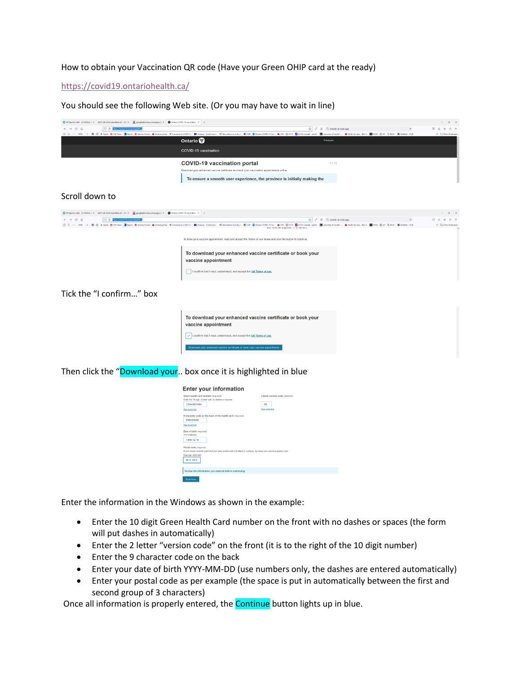## How to obtain your Vaccination QR code (Have your Green OHIP card at the ready)

## <https://covid19.ontariohealth.ca/>

You should see the following Web site. (Or you may have to wait in line)

| ● HP Spectre x360 - 13-4120ca (IIX 2021 Fall UGFA newslettec.ofr - UCIX ■ googleadsevices.com/pageed/X ● Ontario COVID-19 vaccination : X            |                                                                                                                                                                                                                                                                       | $a \times$<br>$\sim$         |
|------------------------------------------------------------------------------------------------------------------------------------------------------|-----------------------------------------------------------------------------------------------------------------------------------------------------------------------------------------------------------------------------------------------------------------------|------------------------------|
| O A https://covid19.<br>$C \odot$                                                                                                                    | ☆ / 盒 Q. ontario gr code app                                                                                                                                                                                                                                          |                              |
|                                                                                                                                                      |                                                                                                                                                                                                                                                                       | $\gg$ $\Box$ Other Bookmarks |
|                                                                                                                                                      | Ontario <sup>®</sup><br>Français                                                                                                                                                                                                                                      |                              |
|                                                                                                                                                      | COVID-19 vaccination                                                                                                                                                                                                                                                  |                              |
|                                                                                                                                                      | <b>COVID-19 vaccination portal</b><br>1.1.71                                                                                                                                                                                                                          |                              |
|                                                                                                                                                      | Download your enhanced vaccine certificate and book your vaccination appointments online                                                                                                                                                                              |                              |
|                                                                                                                                                      | To ensure a smooth user experience, the province is initially making the                                                                                                                                                                                              |                              |
| Scroll down to                                                                                                                                       |                                                                                                                                                                                                                                                                       |                              |
| 1 HP Spectre x360 - 13-4120cs (1 × . - 2021 Fall UGFA newslettecadr - UGFX - E googleadsevices.com/pagess/: X + D Ontatio COVID-19 vaccination - X + |                                                                                                                                                                                                                                                                       | 79. 36                       |
| O A https://c                                                                                                                                        | ☆ / 용 Q ontario or code app                                                                                                                                                                                                                                           | 日支田<br>$Q =$                 |
|                                                                                                                                                      | To book your vaccine appointment, read and accept the Terms of use below and click the button to continue<br>To download your enhanced vaccine certificate or book your<br>vaccine appointment<br>I confirm that I read, understood, and accept the full Terms of use |                              |
| Tick the "I confirm" box                                                                                                                             |                                                                                                                                                                                                                                                                       |                              |
|                                                                                                                                                      | To download your enhanced vaccine certificate or book your<br>vaccine appointment                                                                                                                                                                                     |                              |
|                                                                                                                                                      | I confirm that I read, understood, and accept the full Terms of use,                                                                                                                                                                                                  |                              |
|                                                                                                                                                      | Download your enhanced vaccine certificate or book your vaccine appointment                                                                                                                                                                                           |                              |

Then click the "Download your.. box once it is highlighted in blue

|                                                                                                                                                                                                                                           | <b>Enter your information</b>                                                                                    |                                                                   |  |  |  |
|-------------------------------------------------------------------------------------------------------------------------------------------------------------------------------------------------------------------------------------------|------------------------------------------------------------------------------------------------------------------|-------------------------------------------------------------------|--|--|--|
| Green health card number (required)<br>1234-567-890<br>See example<br>770123456<br>See example                                                                                                                                            | Enter the 10-digit number with no dashes or spaces<br>9-character code on the back of the health card (required) | 2-letter version code (required)<br>A <sub>B</sub><br>See example |  |  |  |
| Date of birth (required)<br><b>YYYY-MM-DD</b><br>1948-12-15<br>Postal code (required)<br>If you moved recently and tried your new postal code but failed to continue, try using your previous postal code.<br>Example: A2A 2A2<br>N1G 2W1 |                                                                                                                  |                                                                   |  |  |  |
|                                                                                                                                                                                                                                           | Review the information you entered before continuing.                                                            |                                                                   |  |  |  |
| Continue                                                                                                                                                                                                                                  |                                                                                                                  |                                                                   |  |  |  |

Enter the information in the Windows as shown in the example:

- Enter the 10 digit Green Health Card number on the front with no dashes or spaces (the form will put dashes in automatically)
- Enter the 2 letter "version code" on the front (it is to the right of the 10 digit number)
- Enter the 9 character code on the back
- Enter your date of birth YYYY-MM-DD (use numbers only, the dashes are entered automatically)
- Enter your postal code as per example (the space is put in automatically between the first and second group of 3 characters)

Once all information is properly entered, the **Continue** button lights up in blue.